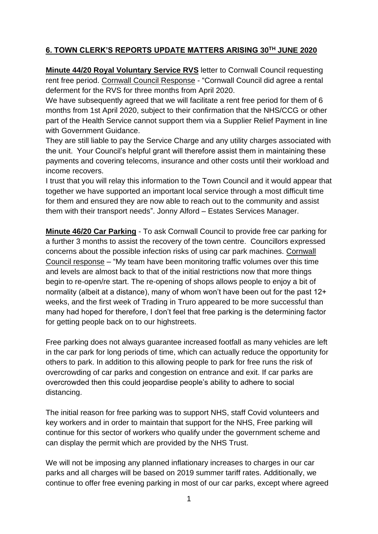# **6. TOWN CLERK'S REPORTS UPDATE MATTERS ARISING 30TH JUNE 2020**

**Minute 44/20 Royal Voluntary Service RVS** letter to Cornwall Council requesting rent free period. Cornwall Council Response - "Cornwall Council did agree a rental deferment for the RVS for three months from April 2020.

We have subsequently agreed that we will facilitate a rent free period for them of 6 months from 1st April 2020, subject to their confirmation that the NHS/CCG or other part of the Health Service cannot support them via a Supplier Relief Payment in line with Government Guidance

They are still liable to pay the Service Charge and any utility charges associated with the unit. Your Council's helpful grant will therefore assist them in maintaining these payments and covering telecoms, insurance and other costs until their workload and income recovers.

I trust that you will relay this information to the Town Council and it would appear that together we have supported an important local service through a most difficult time for them and ensured they are now able to reach out to the community and assist them with their transport needs". Jonny Alford – Estates Services Manager.

**Minute 46/20 Car Parking** - To ask Cornwall Council to provide free car parking for a further 3 months to assist the recovery of the town centre. Councillors expressed concerns about the possible infection risks of using car park machines. Cornwall Council response – "My team have been monitoring traffic volumes over this time and levels are almost back to that of the initial restrictions now that more things begin to re-open/re start. The re-opening of shops allows people to enjoy a bit of normality (albeit at a distance), many of whom won't have been out for the past 12+ weeks, and the first week of Trading in Truro appeared to be more successful than many had hoped for therefore, I don't feel that free parking is the determining factor for getting people back on to our highstreets.

Free parking does not always guarantee increased footfall as many vehicles are left in the car park for long periods of time, which can actually reduce the opportunity for others to park. In addition to this allowing people to park for free runs the risk of overcrowding of car parks and congestion on entrance and exit. If car parks are overcrowded then this could jeopardise people's ability to adhere to social distancing.

The initial reason for free parking was to support NHS, staff Covid volunteers and key workers and in order to maintain that support for the NHS, Free parking will continue for this sector of workers who qualify under the government scheme and can display the permit which are provided by the NHS Trust.

We will not be imposing any planned inflationary increases to charges in our car parks and all charges will be based on 2019 summer tariff rates. Additionally, we continue to offer free evening parking in most of our car parks, except where agreed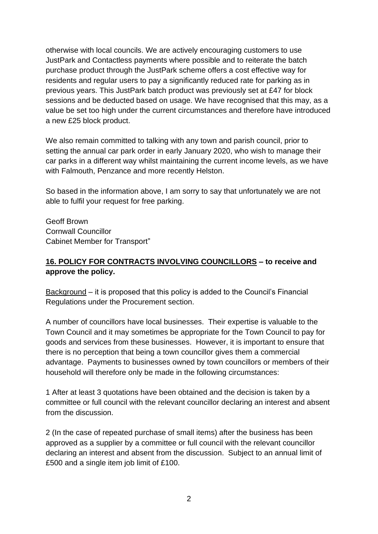otherwise with local councils. We are actively encouraging customers to use JustPark and Contactless payments where possible and to reiterate the batch purchase product through the JustPark scheme offers a cost effective way for residents and regular users to pay a significantly reduced rate for parking as in previous years. This JustPark batch product was previously set at £47 for block sessions and be deducted based on usage. We have recognised that this may, as a value be set too high under the current circumstances and therefore have introduced a new £25 block product.

We also remain committed to talking with any town and parish council, prior to setting the annual car park order in early January 2020, who wish to manage their car parks in a different way whilst maintaining the current income levels, as we have with Falmouth, Penzance and more recently Helston.

So based in the information above, I am sorry to say that unfortunately we are not able to fulfil your request for free parking.

Geoff Brown Cornwall Councillor Cabinet Member for Transport"

### **16. POLICY FOR CONTRACTS INVOLVING COUNCILLORS – to receive and approve the policy.**

Background – it is proposed that this policy is added to the Council's Financial Regulations under the Procurement section.

A number of councillors have local businesses. Their expertise is valuable to the Town Council and it may sometimes be appropriate for the Town Council to pay for goods and services from these businesses. However, it is important to ensure that there is no perception that being a town councillor gives them a commercial advantage. Payments to businesses owned by town councillors or members of their household will therefore only be made in the following circumstances:

1 After at least 3 quotations have been obtained and the decision is taken by a committee or full council with the relevant councillor declaring an interest and absent from the discussion.

2 (In the case of repeated purchase of small items) after the business has been approved as a supplier by a committee or full council with the relevant councillor declaring an interest and absent from the discussion. Subject to an annual limit of £500 and a single item job limit of £100.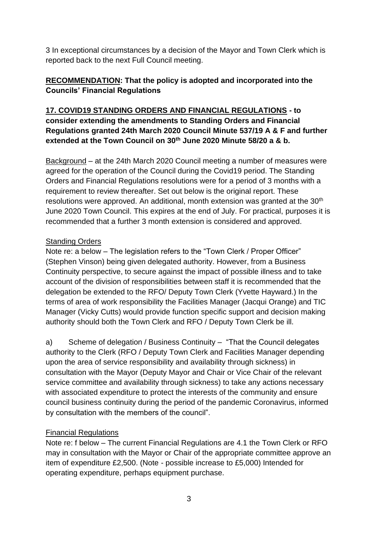3 In exceptional circumstances by a decision of the Mayor and Town Clerk which is reported back to the next Full Council meeting.

# **RECOMMENDATION: That the policy is adopted and incorporated into the Councils' Financial Regulations**

## **17. COVID19 STANDING ORDERS AND FINANCIAL REGULATIONS - to consider extending the amendments to Standing Orders and Financial Regulations granted 24th March 2020 Council Minute 537/19 A & F and further extended at the Town Council on 30th June 2020 Minute 58/20 a & b.**

Background – at the 24th March 2020 Council meeting a number of measures were agreed for the operation of the Council during the Covid19 period. The Standing Orders and Financial Regulations resolutions were for a period of 3 months with a requirement to review thereafter. Set out below is the original report. These resolutions were approved. An additional, month extension was granted at the 30<sup>th</sup> June 2020 Town Council. This expires at the end of July. For practical, purposes it is recommended that a further 3 month extension is considered and approved.

# Standing Orders

Note re: a below – The legislation refers to the "Town Clerk / Proper Officer" (Stephen Vinson) being given delegated authority. However, from a Business Continuity perspective, to secure against the impact of possible illness and to take account of the division of responsibilities between staff it is recommended that the delegation be extended to the RFO/ Deputy Town Clerk (Yvette Hayward.) In the terms of area of work responsibility the Facilities Manager (Jacqui Orange) and TIC Manager (Vicky Cutts) would provide function specific support and decision making authority should both the Town Clerk and RFO / Deputy Town Clerk be ill.

a) Scheme of delegation / Business Continuity – "That the Council delegates authority to the Clerk (RFO / Deputy Town Clerk and Facilities Manager depending upon the area of service responsibility and availability through sickness) in consultation with the Mayor (Deputy Mayor and Chair or Vice Chair of the relevant service committee and availability through sickness) to take any actions necessary with associated expenditure to protect the interests of the community and ensure council business continuity during the period of the pandemic Coronavirus, informed by consultation with the members of the council".

# Financial Regulations

Note re: f below – The current Financial Regulations are 4.1 the Town Clerk or RFO may in consultation with the Mayor or Chair of the appropriate committee approve an item of expenditure £2,500. (Note - possible increase to £5,000) Intended for operating expenditure, perhaps equipment purchase.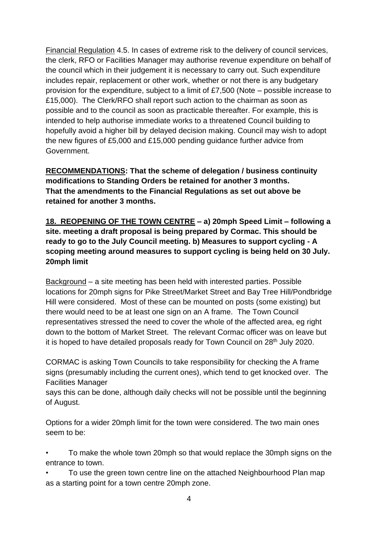Financial Regulation 4.5. In cases of extreme risk to the delivery of council services, the clerk, RFO or Facilities Manager may authorise revenue expenditure on behalf of the council which in their judgement it is necessary to carry out. Such expenditure includes repair, replacement or other work, whether or not there is any budgetary provision for the expenditure, subject to a limit of £7,500 (Note – possible increase to £15,000). The Clerk/RFO shall report such action to the chairman as soon as possible and to the council as soon as practicable thereafter. For example, this is intended to help authorise immediate works to a threatened Council building to hopefully avoid a higher bill by delayed decision making. Council may wish to adopt the new figures of £5,000 and £15,000 pending guidance further advice from Government.

**RECOMMENDATIONS: That the scheme of delegation / business continuity modifications to Standing Orders be retained for another 3 months. That the amendments to the Financial Regulations as set out above be retained for another 3 months.**

**18. REOPENING OF THE TOWN CENTRE – a) 20mph Speed Limit – following a site. meeting a draft proposal is being prepared by Cormac. This should be ready to go to the July Council meeting. b) Measures to support cycling - A scoping meeting around measures to support cycling is being held on 30 July. 20mph limit**

Background – a site meeting has been held with interested parties. Possible locations for 20mph signs for Pike Street/Market Street and Bay Tree Hill/Pondbridge Hill were considered. Most of these can be mounted on posts (some existing) but there would need to be at least one sign on an A frame. The Town Council representatives stressed the need to cover the whole of the affected area, eg right down to the bottom of Market Street. The relevant Cormac officer was on leave but it is hoped to have detailed proposals ready for Town Council on 28<sup>th</sup> July 2020.

CORMAC is asking Town Councils to take responsibility for checking the A frame signs (presumably including the current ones), which tend to get knocked over. The Facilities Manager

says this can be done, although daily checks will not be possible until the beginning of August.

Options for a wider 20mph limit for the town were considered. The two main ones seem to be:

• To make the whole town 20mph so that would replace the 30mph signs on the entrance to town.

• To use the green town centre line on the attached Neighbourhood Plan map as a starting point for a town centre 20mph zone.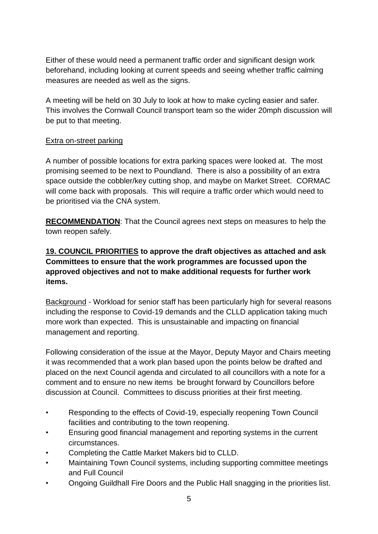Either of these would need a permanent traffic order and significant design work beforehand, including looking at current speeds and seeing whether traffic calming measures are needed as well as the signs.

A meeting will be held on 30 July to look at how to make cycling easier and safer. This involves the Cornwall Council transport team so the wider 20mph discussion will be put to that meeting.

#### Extra on-street parking

A number of possible locations for extra parking spaces were looked at. The most promising seemed to be next to Poundland. There is also a possibility of an extra space outside the cobbler/key cutting shop, and maybe on Market Street. CORMAC will come back with proposals. This will require a traffic order which would need to be prioritised via the CNA system.

**RECOMMENDATION**: That the Council agrees next steps on measures to help the town reopen safely.

# **19. COUNCIL PRIORITIES to approve the draft objectives as attached and ask Committees to ensure that the work programmes are focussed upon the approved objectives and not to make additional requests for further work items.**

Background - Workload for senior staff has been particularly high for several reasons including the response to Covid-19 demands and the CLLD application taking much more work than expected. This is unsustainable and impacting on financial management and reporting.

Following consideration of the issue at the Mayor, Deputy Mayor and Chairs meeting it was recommended that a work plan based upon the points below be drafted and placed on the next Council agenda and circulated to all councillors with a note for a comment and to ensure no new items be brought forward by Councillors before discussion at Council. Committees to discuss priorities at their first meeting.

- Responding to the effects of Covid-19, especially reopening Town Council facilities and contributing to the town reopening.
- Ensuring good financial management and reporting systems in the current circumstances.
- Completing the Cattle Market Makers bid to CLLD.
- Maintaining Town Council systems, including supporting committee meetings and Full Council
- Ongoing Guildhall Fire Doors and the Public Hall snagging in the priorities list.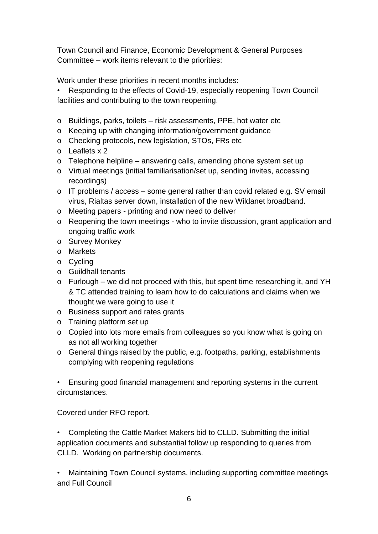Town Council and Finance, Economic Development & General Purposes Committee – work items relevant to the priorities:

Work under these priorities in recent months includes:

• Responding to the effects of Covid-19, especially reopening Town Council facilities and contributing to the town reopening.

- o Buildings, parks, toilets risk assessments, PPE, hot water etc
- o Keeping up with changing information/government guidance
- o Checking protocols, new legislation, STOs, FRs etc
- o Leaflets x 2
- o Telephone helpline answering calls, amending phone system set up
- o Virtual meetings (initial familiarisation/set up, sending invites, accessing recordings)
- o IT problems / access some general rather than covid related e.g. SV email virus, Rialtas server down, installation of the new Wildanet broadband.
- o Meeting papers printing and now need to deliver
- o Reopening the town meetings who to invite discussion, grant application and ongoing traffic work
- o Survey Monkey
- o Markets
- o Cycling
- o Guildhall tenants
- o Furlough we did not proceed with this, but spent time researching it, and YH & TC attended training to learn how to do calculations and claims when we thought we were going to use it
- o Business support and rates grants
- o Training platform set up
- o Copied into lots more emails from colleagues so you know what is going on as not all working together
- o General things raised by the public, e.g. footpaths, parking, establishments complying with reopening regulations

• Ensuring good financial management and reporting systems in the current circumstances.

Covered under RFO report.

• Completing the Cattle Market Makers bid to CLLD. Submitting the initial application documents and substantial follow up responding to queries from CLLD. Working on partnership documents.

• Maintaining Town Council systems, including supporting committee meetings and Full Council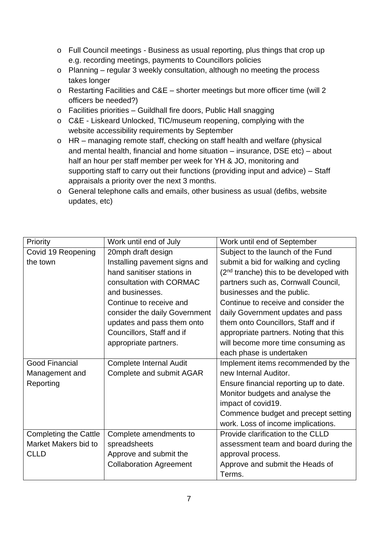- o Full Council meetings Business as usual reporting, plus things that crop up e.g. recording meetings, payments to Councillors policies
- o Planning regular 3 weekly consultation, although no meeting the process takes longer
- o Restarting Facilities and C&E shorter meetings but more officer time (will 2 officers be needed?)
- o Facilities priorities Guildhall fire doors, Public Hall snagging
- o C&E Liskeard Unlocked, TIC/museum reopening, complying with the website accessibility requirements by September
- o HR managing remote staff, checking on staff health and welfare (physical and mental health, financial and home situation – insurance, DSE etc) – about half an hour per staff member per week for YH & JO, monitoring and supporting staff to carry out their functions (providing input and advice) – Staff appraisals a priority over the next 3 months.
- o General telephone calls and emails, other business as usual (defibs, website updates, etc)

| Priority                     | Work until end of July         | Work until end of September               |
|------------------------------|--------------------------------|-------------------------------------------|
| Covid 19 Reopening           | 20mph draft design             | Subject to the launch of the Fund         |
| the town                     | Installing pavement signs and  | submit a bid for walking and cycling      |
|                              | hand sanitiser stations in     | $(2nd$ tranche) this to be developed with |
|                              | consultation with CORMAC       | partners such as, Cornwall Council,       |
|                              | and businesses.                | businesses and the public.                |
|                              | Continue to receive and        | Continue to receive and consider the      |
|                              | consider the daily Government  | daily Government updates and pass         |
|                              | updates and pass them onto     | them onto Councillors, Staff and if       |
|                              | Councillors, Staff and if      | appropriate partners. Noting that this    |
|                              | appropriate partners.          | will become more time consuming as        |
|                              |                                | each phase is undertaken                  |
| <b>Good Financial</b>        | Complete Internal Audit        | Implement items recommended by the        |
| Management and               | Complete and submit AGAR       | new Internal Auditor.                     |
| Reporting                    |                                | Ensure financial reporting up to date.    |
|                              |                                | Monitor budgets and analyse the           |
|                              |                                | impact of covid19.                        |
|                              |                                | Commence budget and precept setting       |
|                              |                                | work. Loss of income implications.        |
| <b>Completing the Cattle</b> | Complete amendments to         | Provide clarification to the CLLD         |
| Market Makers bid to         | spreadsheets                   | assessment team and board during the      |
| <b>CLLD</b>                  | Approve and submit the         | approval process.                         |
|                              | <b>Collaboration Agreement</b> | Approve and submit the Heads of           |
|                              |                                | Terms.                                    |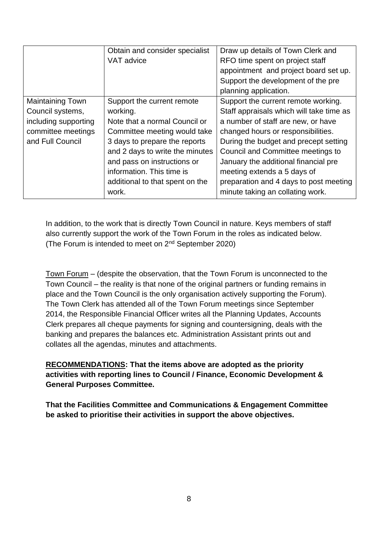|                         | Obtain and consider specialist  | Draw up details of Town Clerk and        |
|-------------------------|---------------------------------|------------------------------------------|
|                         | VAT advice                      | RFO time spent on project staff          |
|                         |                                 | appointment and project board set up.    |
|                         |                                 | Support the development of the pre       |
|                         |                                 | planning application.                    |
| <b>Maintaining Town</b> | Support the current remote      | Support the current remote working.      |
| Council systems,        | working.                        | Staff appraisals which will take time as |
| including supporting    | Note that a normal Council or   | a number of staff are new, or have       |
| committee meetings      | Committee meeting would take    | changed hours or responsibilities.       |
| and Full Council        | 3 days to prepare the reports   | During the budget and precept setting    |
|                         | and 2 days to write the minutes | Council and Committee meetings to        |
|                         | and pass on instructions or     | January the additional financial pre     |
|                         | information. This time is       | meeting extends a 5 days of              |
|                         | additional to that spent on the | preparation and 4 days to post meeting   |
|                         | work.                           | minute taking an collating work.         |

In addition, to the work that is directly Town Council in nature. Keys members of staff also currently support the work of the Town Forum in the roles as indicated below. (The Forum is intended to meet on 2nd September 2020)

Town Forum – (despite the observation, that the Town Forum is unconnected to the Town Council – the reality is that none of the original partners or funding remains in place and the Town Council is the only organisation actively supporting the Forum). The Town Clerk has attended all of the Town Forum meetings since September 2014, the Responsible Financial Officer writes all the Planning Updates, Accounts Clerk prepares all cheque payments for signing and countersigning, deals with the banking and prepares the balances etc. Administration Assistant prints out and collates all the agendas, minutes and attachments.

### **RECOMMENDATIONS: That the items above are adopted as the priority activities with reporting lines to Council / Finance, Economic Development & General Purposes Committee.**

**That the Facilities Committee and Communications & Engagement Committee be asked to prioritise their activities in support the above objectives.**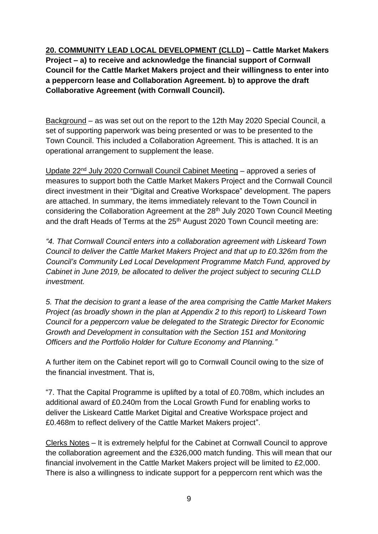**20. COMMUNITY LEAD LOCAL DEVELOPMENT (CLLD) – Cattle Market Makers Project – a) to receive and acknowledge the financial support of Cornwall Council for the Cattle Market Makers project and their willingness to enter into a peppercorn lease and Collaboration Agreement. b) to approve the draft Collaborative Agreement (with Cornwall Council).**

Background – as was set out on the report to the 12th May 2020 Special Council, a set of supporting paperwork was being presented or was to be presented to the Town Council. This included a Collaboration Agreement. This is attached. It is an operational arrangement to supplement the lease.

Update 22nd July 2020 Cornwall Council Cabinet Meeting – approved a series of measures to support both the Cattle Market Makers Project and the Cornwall Council direct investment in their "Digital and Creative Workspace" development. The papers are attached. In summary, the items immediately relevant to the Town Council in considering the Collaboration Agreement at the 28<sup>th</sup> July 2020 Town Council Meeting and the draft Heads of Terms at the 25<sup>th</sup> August 2020 Town Council meeting are:

*"4. That Cornwall Council enters into a collaboration agreement with Liskeard Town Council to deliver the Cattle Market Makers Project and that up to £0.326m from the Council's Community Led Local Development Programme Match Fund, approved by Cabinet in June 2019, be allocated to deliver the project subject to securing CLLD investment.*

*5. That the decision to grant a lease of the area comprising the Cattle Market Makers Project (as broadly shown in the plan at Appendix 2 to this report) to Liskeard Town Council for a peppercorn value be delegated to the Strategic Director for Economic Growth and Development in consultation with the Section 151 and Monitoring Officers and the Portfolio Holder for Culture Economy and Planning."*

A further item on the Cabinet report will go to Cornwall Council owing to the size of the financial investment. That is,

"7. That the Capital Programme is uplifted by a total of £0.708m, which includes an additional award of £0.240m from the Local Growth Fund for enabling works to deliver the Liskeard Cattle Market Digital and Creative Workspace project and £0.468m to reflect delivery of the Cattle Market Makers project".

Clerks Notes – It is extremely helpful for the Cabinet at Cornwall Council to approve the collaboration agreement and the £326,000 match funding. This will mean that our financial involvement in the Cattle Market Makers project will be limited to £2,000. There is also a willingness to indicate support for a peppercorn rent which was the